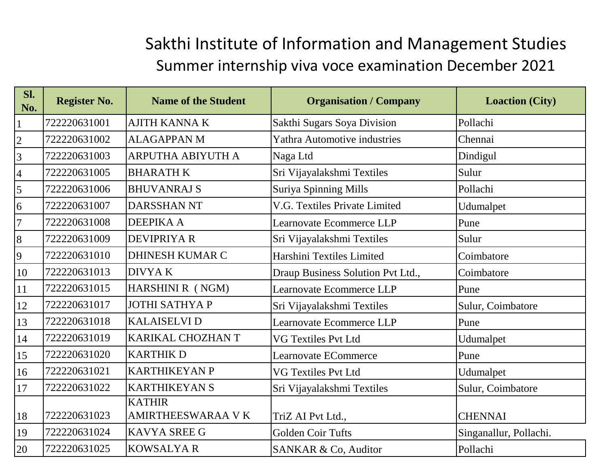## Sakthi Institute of Information and Management Studies Summer internship viva voce examination December 2021

| Sl.<br>No.               | <b>Register No.</b> | <b>Name of the Student</b>                | <b>Organisation / Company</b>       | <b>Loaction (City)</b> |
|--------------------------|---------------------|-------------------------------------------|-------------------------------------|------------------------|
| $\mathbf 1$              | 722220631001        | <b>AJITH KANNA K</b>                      | Sakthi Sugars Soya Division         | Pollachi               |
| $\overline{c}$           | 722220631002        | <b>ALAGAPPAN M</b>                        | <b>Yathra Automotive industries</b> | Chennai                |
| $\overline{3}$           | 722220631003        | <b>ARPUTHA ABIYUTH A</b>                  | Naga Ltd                            | Dindigul               |
| $\overline{\mathcal{A}}$ | 722220631005        | <b>BHARATH K</b>                          | Sri Vijayalakshmi Textiles          | Sulur                  |
| 5                        | 722220631006        | <b>BHUVANRAJ S</b>                        | <b>Suriya Spinning Mills</b>        | Pollachi               |
| 6                        | 722220631007        | <b>DARSSHAN NT</b>                        | V.G. Textiles Private Limited       | Udumalpet              |
| $\overline{7}$           | 722220631008        | <b>DEEPIKA A</b>                          | Learnovate Ecommerce LLP            | Pune                   |
| 8                        | 722220631009        | <b>DEVIPRIYA R</b>                        | Sri Vijayalakshmi Textiles          | Sulur                  |
| 9                        | 722220631010        | <b>DHINESH KUMAR C</b>                    | Harshini Textiles Limited           | Coimbatore             |
| 10                       | 722220631013        | <b>DIVYAK</b>                             | Draup Business Solution Pvt Ltd.,   | Coimbatore             |
| 11                       | 722220631015        | HARSHINI R (NGM)                          | Learnovate Ecommerce LLP            | Pune                   |
| 12                       | 722220631017        | JOTHI SATHYA P                            | Sri Vijayalakshmi Textiles          | Sulur, Coimbatore      |
| 13                       | 722220631018        | <b>KALAISELVI D</b>                       | Learnovate Ecommerce LLP            | Pune                   |
| 14                       | 722220631019        | KARIKAL CHOZHAN T                         | <b>VG Textiles Pvt Ltd</b>          | Udumalpet              |
| 15                       | 722220631020        | <b>KARTHIK D</b>                          | Learnovate ECommerce                | Pune                   |
| 16                       | 722220631021        | <b>KARTHIKEYAN P</b>                      | <b>VG Textiles Pvt Ltd</b>          | Udumalpet              |
| 17                       | 722220631022        | <b>KARTHIKEYAN S</b>                      | Sri Vijayalakshmi Textiles          | Sulur, Coimbatore      |
| 18                       | 722220631023        | <b>KATHIR</b><br><b>AMIRTHEESWARAA VK</b> | TriZ AI Pvt Ltd.,                   | <b>CHENNAI</b>         |
| 19                       | 722220631024        | <b>KAVYA SREE G</b>                       | <b>Golden Coir Tufts</b>            | Singanallur, Pollachi. |
| 20                       | 722220631025        | <b>KOWSALYAR</b>                          | SANKAR & Co, Auditor                | Pollachi               |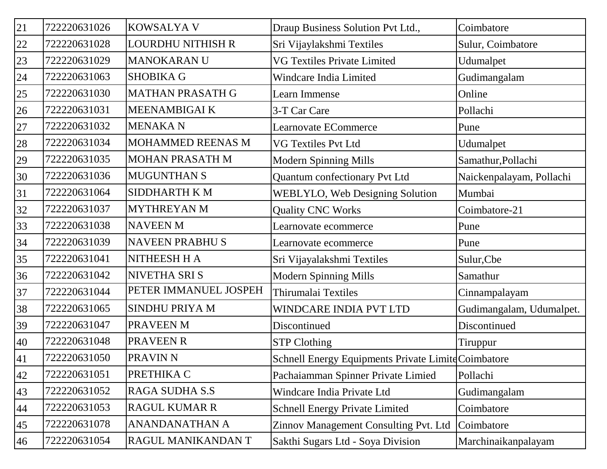| 21 | 722220631026 | <b>KOWSALYA V</b>      | Draup Business Solution Pvt Ltd.,                   | Coimbatore               |
|----|--------------|------------------------|-----------------------------------------------------|--------------------------|
| 22 | 722220631028 | LOURDHU NITHISH R      | Sri Vijaylakshmi Textiles                           | Sulur, Coimbatore        |
| 23 | 722220631029 | <b>MANOKARANU</b>      | <b>VG Textiles Private Limited</b>                  | Udumalpet                |
| 24 | 722220631063 | <b>SHOBIKA G</b>       | Windcare India Limited                              | Gudimangalam             |
| 25 | 722220631030 | MATHAN PRASATH G       | Learn Immense                                       | Online                   |
| 26 | 722220631031 | MEENAMBIGAI K          | 3-T Car Care                                        | Pollachi                 |
| 27 | 722220631032 | <b>MENAKAN</b>         | Learnovate ECommerce                                | Pune                     |
| 28 | 722220631034 | MOHAMMED REENAS M      | <b>VG Textiles Pvt Ltd</b>                          | Udumalpet                |
| 29 | 722220631035 | <b>MOHAN PRASATH M</b> | <b>Modern Spinning Mills</b>                        | Samathur, Pollachi       |
| 30 | 722220631036 | <b>MUGUNTHAN S</b>     | Quantum confectionary Pvt Ltd                       | Naickenpalayam, Pollachi |
| 31 | 722220631064 | <b>SIDDHARTH K M</b>   | <b>WEBLYLO, Web Designing Solution</b>              | Mumbai                   |
| 32 | 722220631037 | <b>MYTHREYAN M</b>     | <b>Quality CNC Works</b>                            | Coimbatore-21            |
| 33 | 722220631038 | <b>NAVEEN M</b>        | Learnovate ecommerce                                | Pune                     |
| 34 | 722220631039 | <b>NAVEEN PRABHUS</b>  | Learnovate ecommerce                                | Pune                     |
| 35 | 722220631041 | NITHEESH H A           | Sri Vijayalakshmi Textiles                          | Sulur, Cbe               |
| 36 | 722220631042 | NIVETHA SRI S          | <b>Modern Spinning Mills</b>                        | Samathur                 |
| 37 | 722220631044 | PETER IMMANUEL JOSPEH  | Thirumalai Textiles                                 | Cinnampalayam            |
| 38 | 722220631065 | SINDHU PRIYA M         | WINDCARE INDIA PVT LTD                              | Gudimangalam, Udumalpet. |
| 39 | 722220631047 | PRAVEEN M              | Discontinued                                        | Discontinued             |
| 40 | 722220631048 | PRAVEEN R              | <b>STP Clothing</b>                                 | Tiruppur                 |
| 41 | 722220631050 | <b>PRAVIN N</b>        | Schnell Energy Equipments Private Limite Coimbatore |                          |
| 42 | 722220631051 | PRETHIKA C             | Pachaiamman Spinner Private Limied                  | Pollachi                 |
| 43 | 722220631052 | RAGA SUDHA S.S         | Windcare India Private Ltd                          | Gudimangalam             |
| 44 | 722220631053 | <b>RAGUL KUMAR R</b>   | <b>Schnell Energy Private Limited</b>               | Coimbatore               |
| 45 | 722220631078 | <b>ANANDANATHAN A</b>  | Zinnov Management Consulting Pvt. Ltd               | Coimbatore               |
| 46 | 722220631054 | RAGUL MANIKANDAN T     | Sakthi Sugars Ltd - Soya Division                   | Marchinaikanpalayam      |